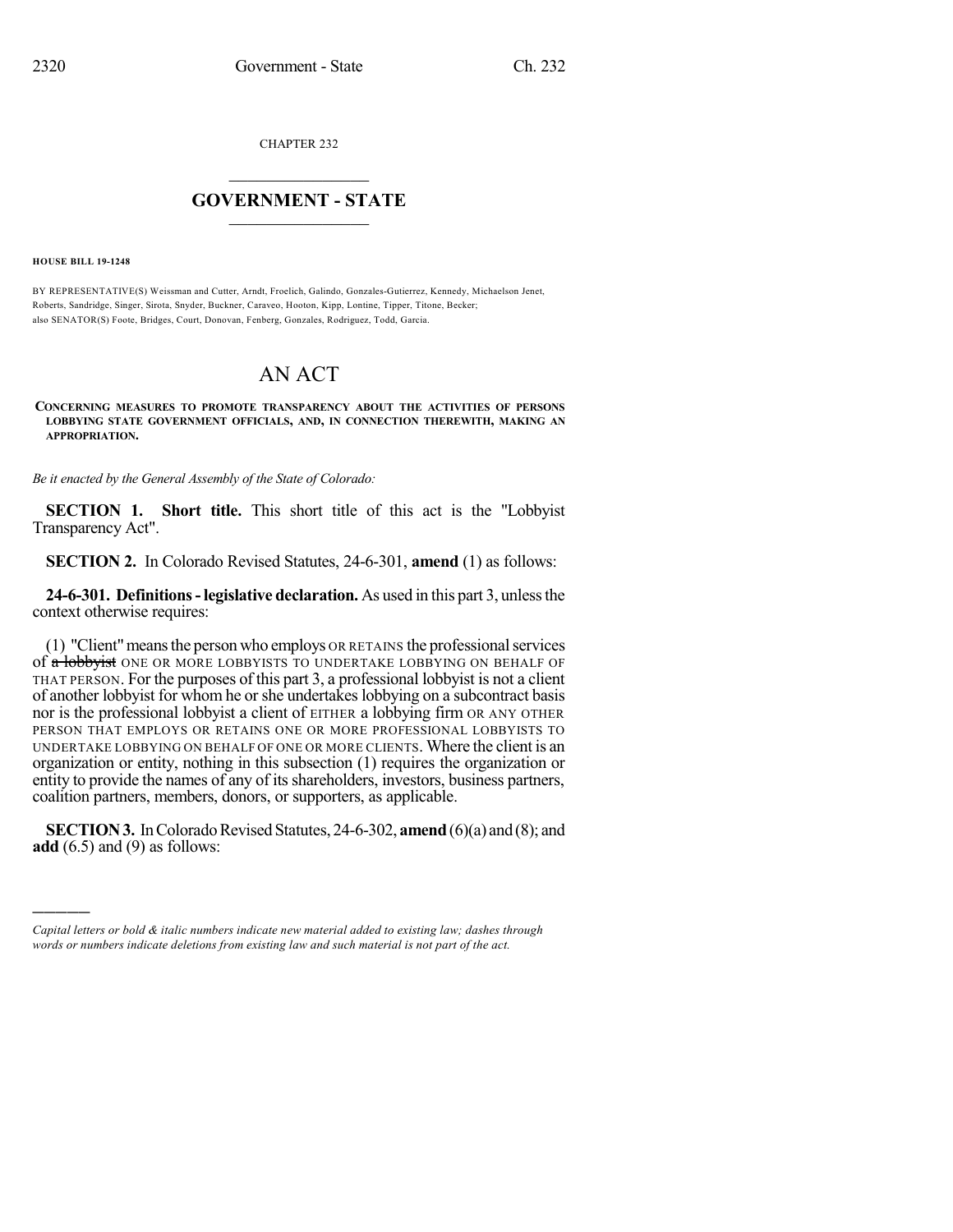CHAPTER 232

## $\overline{\phantom{a}}$  . The set of the set of the set of the set of the set of the set of the set of the set of the set of the set of the set of the set of the set of the set of the set of the set of the set of the set of the set o **GOVERNMENT - STATE**  $\_$

**HOUSE BILL 19-1248**

)))))

BY REPRESENTATIVE(S) Weissman and Cutter, Arndt, Froelich, Galindo, Gonzales-Gutierrez, Kennedy, Michaelson Jenet, Roberts, Sandridge, Singer, Sirota, Snyder, Buckner, Caraveo, Hooton, Kipp, Lontine, Tipper, Titone, Becker; also SENATOR(S) Foote, Bridges, Court, Donovan, Fenberg, Gonzales, Rodriguez, Todd, Garcia.

## AN ACT

**CONCERNING MEASURES TO PROMOTE TRANSPARENCY ABOUT THE ACTIVITIES OF PERSONS LOBBYING STATE GOVERNMENT OFFICIALS, AND, IN CONNECTION THEREWITH, MAKING AN APPROPRIATION.**

*Be it enacted by the General Assembly of the State of Colorado:*

**SECTION 1. Short title.** This short title of this act is the "Lobbyist Transparency Act".

**SECTION 2.** In Colorado Revised Statutes, 24-6-301, **amend** (1) as follows:

**24-6-301. Definitions-legislative declaration.** As used in this part 3, unlessthe context otherwise requires:

(1) "Client"meansthe person who employs OR RETAINS the professionalservices of a lobbyist ONE OR MORE LOBBYISTS TO UNDERTAKE LOBBYING ON BEHALF OF THAT PERSON. For the purposes of this part 3, a professional lobbyist is not a client of another lobbyist for whom he orshe undertakeslobbying on a subcontract basis nor is the professional lobbyist a client of EITHER a lobbying firm OR ANY OTHER PERSON THAT EMPLOYS OR RETAINS ONE OR MORE PROFESSIONAL LOBBYISTS TO UNDERTAKE LOBBYING ON BEHALF OF ONE OR MORE CLIENTS. Where the client is an organization or entity, nothing in this subsection (1) requires the organization or entity to provide the names of any of its shareholders, investors, business partners, coalition partners, members, donors, or supporters, as applicable.

**SECTION 3.** In Colorado Revised Statutes, 24-6-302, **amend** (6)(a) and (8); and **add** (6.5) and (9) as follows:

*Capital letters or bold & italic numbers indicate new material added to existing law; dashes through words or numbers indicate deletions from existing law and such material is not part of the act.*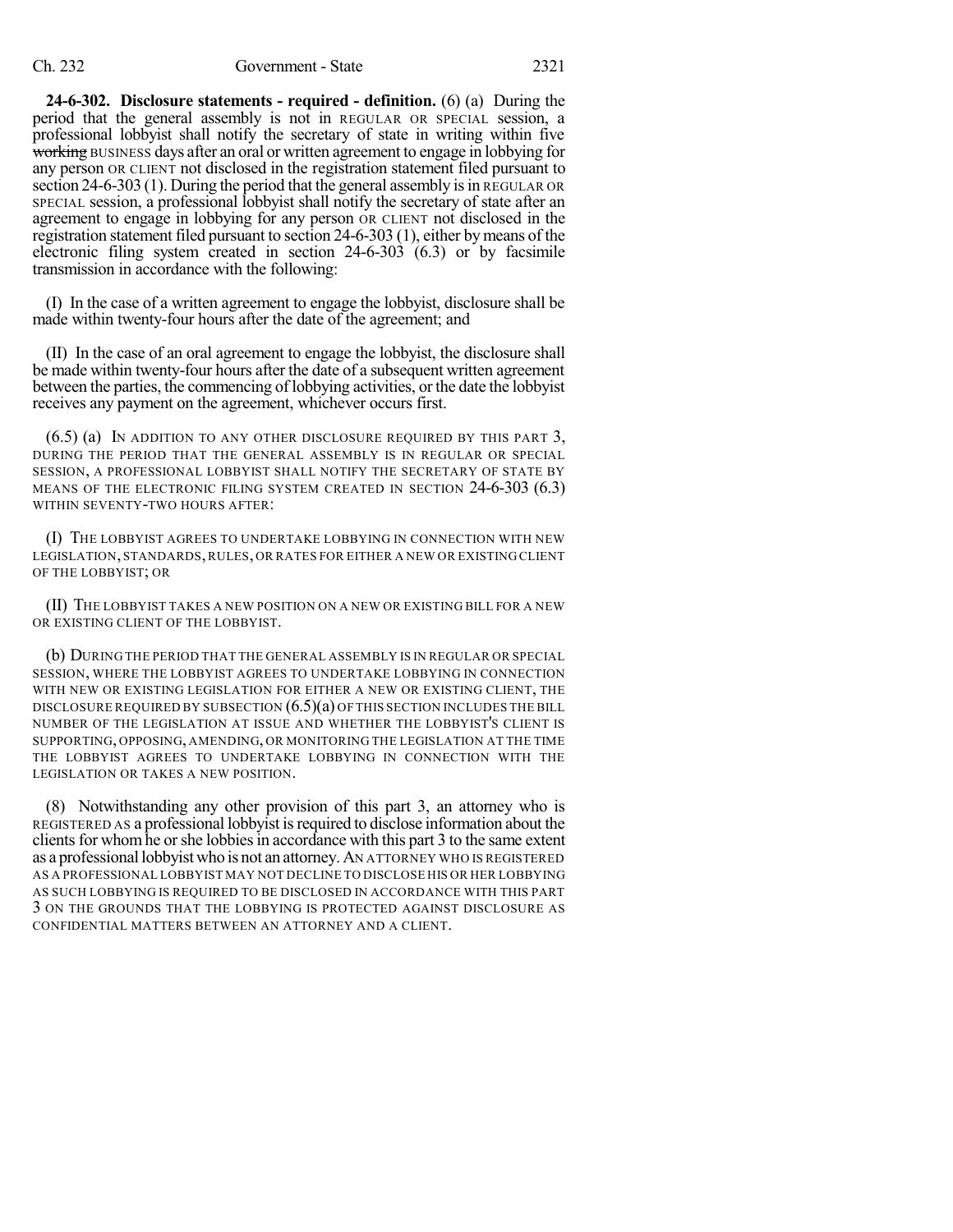**24-6-302. Disclosure statements - required - definition.** (6) (a) During the period that the general assembly is not in REGULAR OR SPECIAL session, a professional lobbyist shall notify the secretary of state in writing within five working BUSINESS days after an oral or written agreement to engage in lobbying for any person OR CLIENT not disclosed in the registration statement filed pursuant to section 24-6-303 (1). During the period that the general assembly is in REGULAR OR SPECIAL session, a professional lobbyist shall notify the secretary of state after an agreement to engage in lobbying for any person OR CLIENT not disclosed in the registration statement filed pursuant to section 24-6-303 (1), either by means of the electronic filing system created in section 24-6-303 (6.3) or by facsimile transmission in accordance with the following:

(I) In the case of a written agreement to engage the lobbyist, disclosure shall be made within twenty-four hours after the date of the agreement; and

(II) In the case of an oral agreement to engage the lobbyist, the disclosure shall be made within twenty-four hours after the date of a subsequent written agreement between the parties, the commencing of lobbying activities, or the date the lobbyist receives any payment on the agreement, whichever occurs first.

 $(6.5)$  (a) In addition to any other disclosure required by this part 3, DURING THE PERIOD THAT THE GENERAL ASSEMBLY IS IN REGULAR OR SPECIAL SESSION, A PROFESSIONAL LOBBYIST SHALL NOTIFY THE SECRETARY OF STATE BY MEANS OF THE ELECTRONIC FILING SYSTEM CREATED IN SECTION 24-6-303 (6.3) WITHIN SEVENTY-TWO HOURS AFTER:

(I) THE LOBBYIST AGREES TO UNDERTAKE LOBBYING IN CONNECTION WITH NEW LEGISLATION, STANDARDS,RULES, OR RATES FOR EITHER A NEW OR EXISTING CLIENT OF THE LOBBYIST; OR

(II) THE LOBBYIST TAKES A NEW POSITION ON A NEW OR EXISTING BILL FOR A NEW OR EXISTING CLIENT OF THE LOBBYIST.

(b) DURING THE PERIOD THAT THE GENERAL ASSEMBLY IS IN REGULAR OR SPECIAL SESSION, WHERE THE LOBBYIST AGREES TO UNDERTAKE LOBBYING IN CONNECTION WITH NEW OR EXISTING LEGISLATION FOR EITHER A NEW OR EXISTING CLIENT, THE DISCLOSURE REQUIRED BY SUBSECTION (6.5)(a) OF THIS SECTION INCLUDES THE BILL NUMBER OF THE LEGISLATION AT ISSUE AND WHETHER THE LOBBYIST'S CLIENT IS SUPPORTING, OPPOSING, AMENDING, OR MONITORING THE LEGISLATION AT THE TIME THE LOBBYIST AGREES TO UNDERTAKE LOBBYING IN CONNECTION WITH THE LEGISLATION OR TAKES A NEW POSITION.

(8) Notwithstanding any other provision of this part 3, an attorney who is REGISTERED AS a professional lobbyist isrequired to disclose information about the clients for whom he or she lobbies in accordance with this part 3 to the same extent as a professional lobbyist who is not an attorney. AN ATTORNEY WHO IS REGISTERED AS A PROFESSIONAL LOBBYIST MAY NOT DECLINE TO DISCLOSE HIS OR HER LOBBYING AS SUCH LOBBYING IS REQUIRED TO BE DISCLOSED IN ACCORDANCE WITH THIS PART 3 ON THE GROUNDS THAT THE LOBBYING IS PROTECTED AGAINST DISCLOSURE AS CONFIDENTIAL MATTERS BETWEEN AN ATTORNEY AND A CLIENT.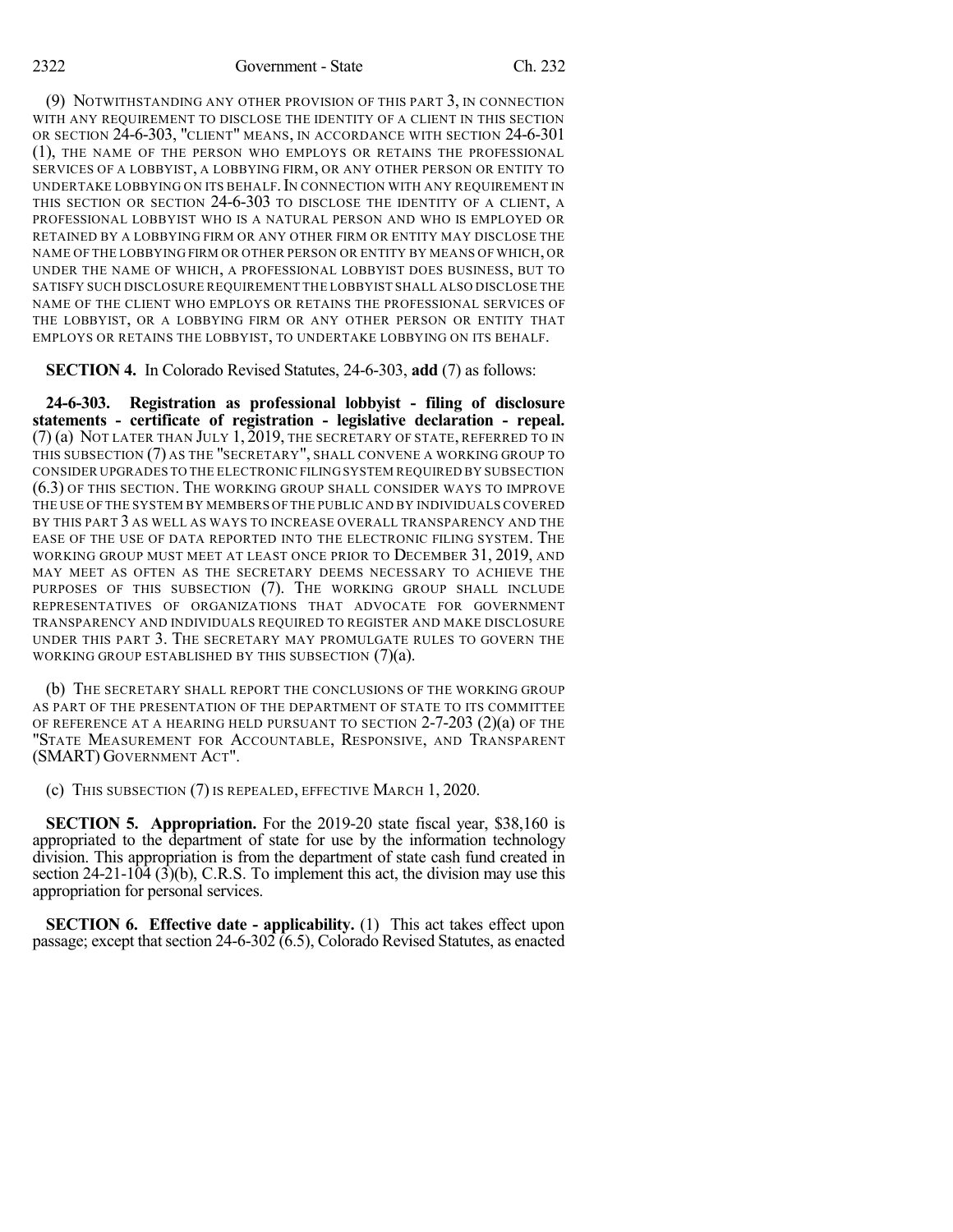(9) NOTWITHSTANDING ANY OTHER PROVISION OF THIS PART 3, IN CONNECTION WITH ANY REQUIREMENT TO DISCLOSE THE IDENTITY OF A CLIENT IN THIS SECTION OR SECTION 24-6-303, "CLIENT" MEANS, IN ACCORDANCE WITH SECTION 24-6-301 (1), THE NAME OF THE PERSON WHO EMPLOYS OR RETAINS THE PROFESSIONAL SERVICES OF A LOBBYIST, A LOBBYING FIRM, OR ANY OTHER PERSON OR ENTITY TO UNDERTAKE LOBBYING ON ITS BEHALF. IN CONNECTION WITH ANY REQUIREMENT IN THIS SECTION OR SECTION 24-6-303 TO DISCLOSE THE IDENTITY OF A CLIENT, A PROFESSIONAL LOBBYIST WHO IS A NATURAL PERSON AND WHO IS EMPLOYED OR RETAINED BY A LOBBYING FIRM OR ANY OTHER FIRM OR ENTITY MAY DISCLOSE THE NAME OF THE LOBBYING FIRM OR OTHER PERSON OR ENTITY BY MEANS OF WHICH, OR UNDER THE NAME OF WHICH, A PROFESSIONAL LOBBYIST DOES BUSINESS, BUT TO SATISFY SUCH DISCLOSURE REQUIREMENT THE LOBBYIST SHALL ALSO DISCLOSE THE NAME OF THE CLIENT WHO EMPLOYS OR RETAINS THE PROFESSIONAL SERVICES OF THE LOBBYIST, OR A LOBBYING FIRM OR ANY OTHER PERSON OR ENTITY THAT EMPLOYS OR RETAINS THE LOBBYIST, TO UNDERTAKE LOBBYING ON ITS BEHALF.

**SECTION 4.** In Colorado Revised Statutes, 24-6-303, **add** (7) as follows:

**24-6-303. Registration as professional lobbyist - filing of disclosure statements - certificate of registration - legislative declaration - repeal.** (7) (a) NOT LATER THAN JULY 1, 2019, THE SECRETARY OF STATE, REFERRED TO IN THIS SUBSECTION (7) AS THE "SECRETARY", SHALL CONVENE A WORKING GROUP TO CONSIDER UPGRADES TO THE ELECTRONIC FILINGSYSTEM REQUIRED BY SUBSECTION (6.3) OF THIS SECTION. THE WORKING GROUP SHALL CONSIDER WAYS TO IMPROVE THE USE OF THE SYSTEM BY MEMBERS OF THE PUBLIC AND BY INDIVIDUALS COVERED BY THIS PART 3 AS WELL AS WAYS TO INCREASE OVERALL TRANSPARENCY AND THE EASE OF THE USE OF DATA REPORTED INTO THE ELECTRONIC FILING SYSTEM. THE WORKING GROUP MUST MEET AT LEAST ONCE PRIOR TO DECEMBER 31, 2019, AND MAY MEET AS OFTEN AS THE SECRETARY DEEMS NECESSARY TO ACHIEVE THE PURPOSES OF THIS SUBSECTION (7). THE WORKING GROUP SHALL INCLUDE REPRESENTATIVES OF ORGANIZATIONS THAT ADVOCATE FOR GOVERNMENT TRANSPARENCY AND INDIVIDUALS REQUIRED TO REGISTER AND MAKE DISCLOSURE UNDER THIS PART 3. THE SECRETARY MAY PROMULGATE RULES TO GOVERN THE WORKING GROUP ESTABLISHED BY THIS SUBSECTION (7)(a).

(b) THE SECRETARY SHALL REPORT THE CONCLUSIONS OF THE WORKING GROUP AS PART OF THE PRESENTATION OF THE DEPARTMENT OF STATE TO ITS COMMITTEE OF REFERENCE AT A HEARING HELD PURSUANT TO SECTION  $2-7-203$   $(2)(a)$  OF THE "STATE MEASUREMENT FOR ACCOUNTABLE, RESPONSIVE, AND TRANSPARENT (SMART) GOVERNMENT ACT".

(c) THIS SUBSECTION (7) IS REPEALED, EFFECTIVE MARCH 1, 2020.

**SECTION 5. Appropriation.** For the 2019-20 state fiscal year, \$38,160 is appropriated to the department of state for use by the information technology division. This appropriation is from the department of state cash fund created in section 24-21-104 (3)(b), C.R.S. To implement this act, the division may use this appropriation for personal services.

**SECTION 6. Effective date - applicability.** (1) This act takes effect upon passage; except that section 24-6-302 (6.5), Colorado Revised Statutes, as enacted